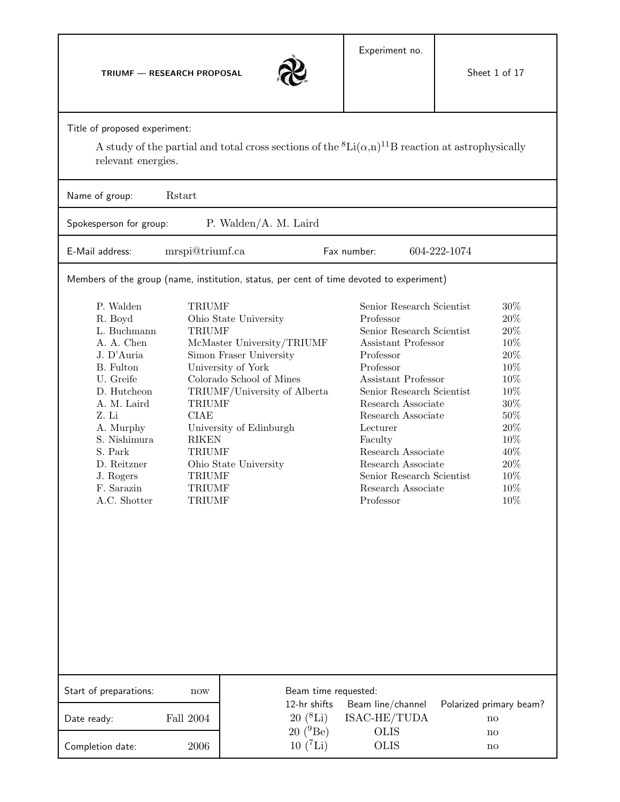**TRIUMF — RESEARCH PROPOSAL**



Title of proposed experiment:

A study of the partial and total cross sections of the  ${}^{8}Li(\alpha,n){}^{11}B$  reaction at astrophysically relevant energies.

| Rstart<br>Name of group:                                                                                                                                                                                                           |                                                                                                                                                    |                                                                                                                                                                                                                      |                                                                         |                                                                                                                                                                                                                                                                              |                                                                                                                     |  |
|------------------------------------------------------------------------------------------------------------------------------------------------------------------------------------------------------------------------------------|----------------------------------------------------------------------------------------------------------------------------------------------------|----------------------------------------------------------------------------------------------------------------------------------------------------------------------------------------------------------------------|-------------------------------------------------------------------------|------------------------------------------------------------------------------------------------------------------------------------------------------------------------------------------------------------------------------------------------------------------------------|---------------------------------------------------------------------------------------------------------------------|--|
| P. Walden/A. M. Laird<br>Spokesperson for group:                                                                                                                                                                                   |                                                                                                                                                    |                                                                                                                                                                                                                      |                                                                         |                                                                                                                                                                                                                                                                              |                                                                                                                     |  |
| E-Mail address:                                                                                                                                                                                                                    | mrspi@triumf.ca<br>Fax number:<br>604-222-1074                                                                                                     |                                                                                                                                                                                                                      |                                                                         |                                                                                                                                                                                                                                                                              |                                                                                                                     |  |
| Members of the group (name, institution, status, per cent of time devoted to experiment)                                                                                                                                           |                                                                                                                                                    |                                                                                                                                                                                                                      |                                                                         |                                                                                                                                                                                                                                                                              |                                                                                                                     |  |
| P. Walden<br>R. Boyd<br>L. Buchmann<br>A. A. Chen<br>J. D'Auria<br>B. Fulton<br>U. Greife<br>D. Hutcheon<br>A. M. Laird<br>Z. Li<br>A. Murphy<br>S. Nishimura<br>S. Park<br>D. Reitzner<br>J. Rogers<br>F. Sarazin<br>A.C. Shotter | <b>TRIUMF</b><br><b>TRIUMF</b><br><b>TRIUMF</b><br><b>CIAE</b><br><b>RIKEN</b><br><b>TRIUMF</b><br><b>TRIUMF</b><br><b>TRIUMF</b><br><b>TRIUMF</b> | Ohio State University<br>McMaster University/TRIUMF<br>Simon Fraser University<br>University of York<br>Colorado School of Mines<br>TRIUMF/University of Alberta<br>University of Edinburgh<br>Ohio State University | Professor<br>Professor<br>Professor<br>Lecturer<br>Faculty<br>Professor | Senior Research Scientist<br>Senior Research Scientist<br>Assistant Professor<br>Assistant Professor<br>Senior Research Scientist<br>Research Associate<br>Research Associate<br>Research Associate<br>Research Associate<br>Senior Research Scientist<br>Research Associate | 30%<br>20%<br>20%<br>10%<br>20%<br>10%<br>10%<br>10%<br>30%<br>50%<br>20%<br>10%<br>40%<br>20%<br>10%<br>10%<br>10% |  |
| Start of preparations:                                                                                                                                                                                                             | now                                                                                                                                                |                                                                                                                                                                                                                      | Beam time requested:                                                    |                                                                                                                                                                                                                                                                              |                                                                                                                     |  |
| Date ready:                                                                                                                                                                                                                        | Fall 2004                                                                                                                                          | 12-hr shifts<br>$20~(^{8}Li)$<br>$20~(^{9}Be)$                                                                                                                                                                       |                                                                         | Beam line/channel<br>ISAC-HE/TUDA<br><b>OLIS</b>                                                                                                                                                                                                                             | Polarized primary beam?<br>no<br>no                                                                                 |  |
| Completion date:                                                                                                                                                                                                                   | 2006                                                                                                                                               | $10~(^{7}Li)$                                                                                                                                                                                                        |                                                                         | <b>OLIS</b>                                                                                                                                                                                                                                                                  | no                                                                                                                  |  |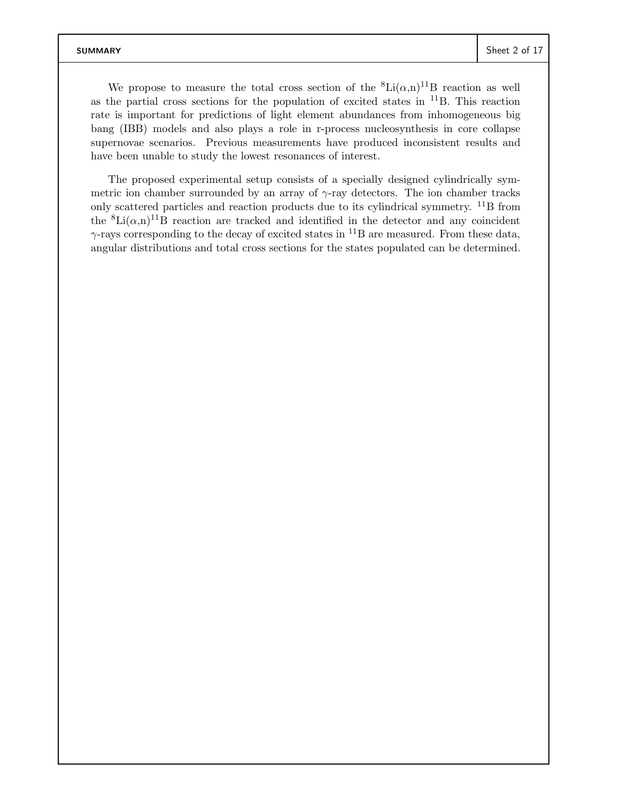We propose to measure the total cross section of the  ${}^{8}$ Li $(\alpha,n)^{11}$ B reaction as well as the partial cross sections for the population of excited states in  $^{11}B$ . This reaction rate is important for predictions of light element abundances from inhomogeneous big bang (IBB) models and also plays a role in r-process nucleosynthesis in core collapse supernovae scenarios. Previous measurements have produced inconsistent results and have been unable to study the lowest resonances of interest.

The proposed experimental setup consists of a specially designed cylindrically symmetric ion chamber surrounded by an array of  $\gamma$ -ray detectors. The ion chamber tracks only scattered particles and reaction products due to its cylindrical symmetry. <sup>11</sup>B from the  ${}^{8}Li(\alpha,n){}^{11}B$  reaction are tracked and identified in the detector and any coincident  $\gamma$ -rays corresponding to the decay of excited states in <sup>11</sup>B are measured. From these data, angular distributions and total cross sections for the states populated can be determined.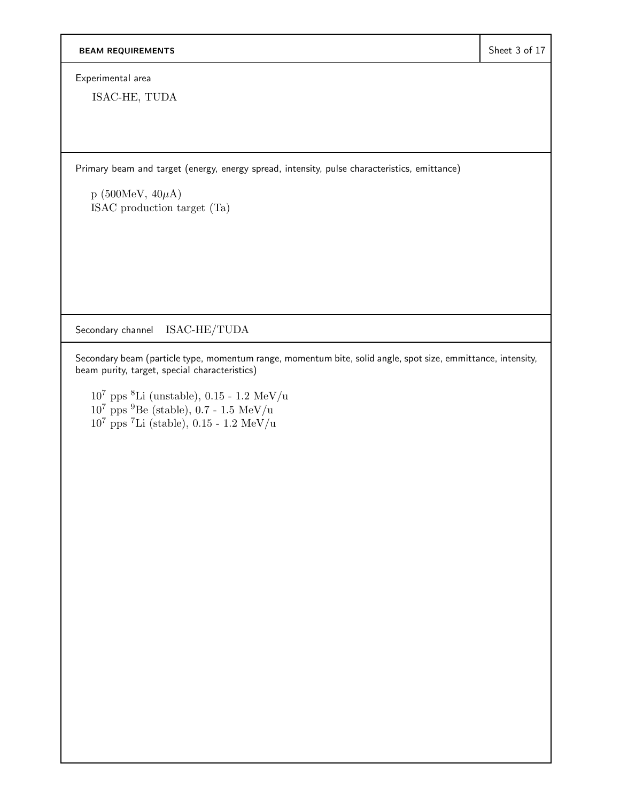Experimental area

ISAC-HE, TUDA

Primary beam and target (energy, energy spread, intensity, pulse characteristics, emittance)

 $p(500MeV, 40\mu A)$ ISAC production target (Ta)

Secondary channel ISAC-HE/TUDA

Secondary beam (particle type, momentum range, momentum bite, solid angle, spot size, emmittance, intensity, beam purity, target, special characteristics)

 $10^7$ pps $^8\text{Li}$  (unstable),  $0.15$  -  $1.2$   $\text{MeV/u}$  $10^7$  pps  $^9$ Be (stable), 0.7 - 1.5 MeV/u  $10^7$  pps <sup>7</sup>Li (stable), 0.15 - 1.2 MeV/u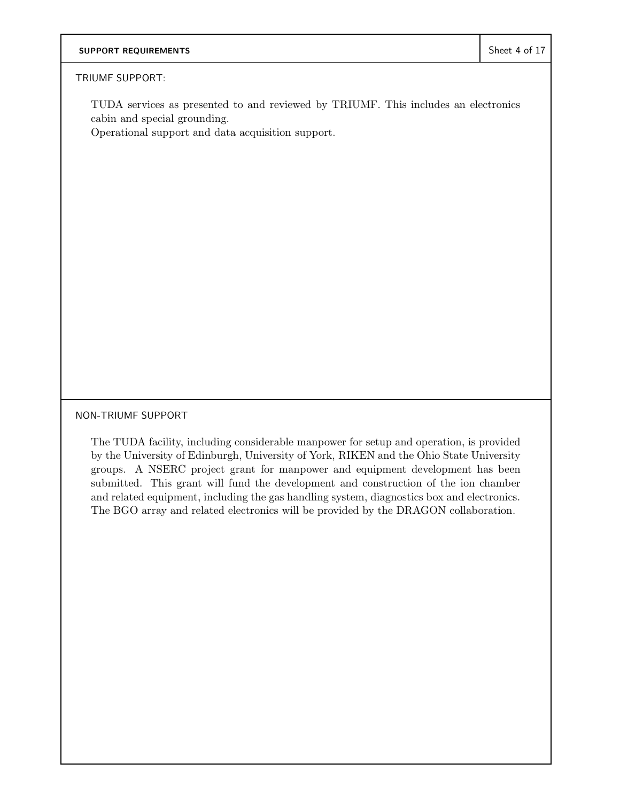#### TRIUMF SUPPORT:

TUDA services as presented to and reviewed by TRIUMF. This includes an electronics cabin and special grounding.

Operational support and data acquisition support.

NON-TRIUMF SUPPORT

The TUDA facility, including considerable manpower for setup and operation, is provided by the University of Edinburgh, University of York, RIKEN and the Ohio State University groups. A NSERC project grant for manpower and equipment development has been submitted. This grant will fund the development and construction of the ion chamber and related equipment, including the gas handling system, diagnostics box and electronics. The BGO array and related electronics will be provided by the DRAGON collaboration.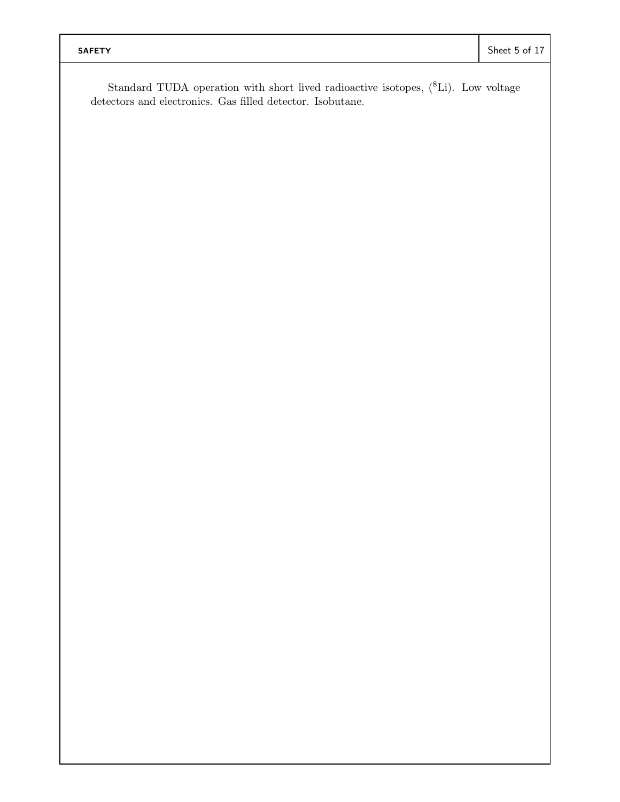Standard TUDA operation with short lived radioactive isotopes,  $(^{8}Li)$ . Low voltage detectors and electronics. Gas filled detector. Isobutane.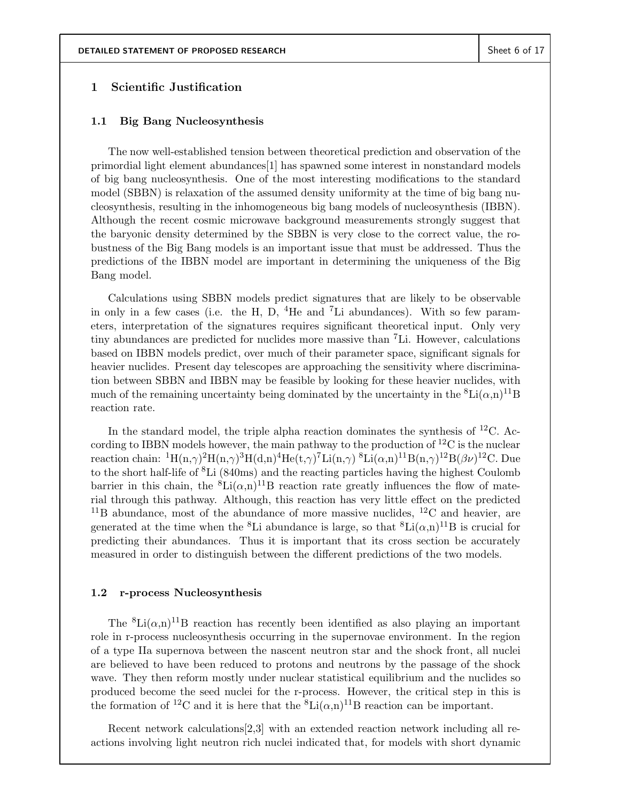#### **1 Scientific Justification**

#### **1.1 Big Bang Nucleosynthesis**

The now well-established tension between theoretical prediction and observation of the primordial light element abundances[1] has spawned some interest in nonstandard models of big bang nucleosynthesis. One of the most interesting modifications to the standard model (SBBN) is relaxation of the assumed density uniformity at the time of big bang nucleosynthesis, resulting in the inhomogeneous big bang models of nucleosynthesis (IBBN). Although the recent cosmic microwave background measurements strongly suggest that the baryonic density determined by the SBBN is very close to the correct value, the robustness of the Big Bang models is an important issue that must be addressed. Thus the predictions of the IBBN model are important in determining the uniqueness of the Big Bang model.

Calculations using SBBN models predict signatures that are likely to be observable in only in a few cases (i.e. the H, D,  $^{4}$ He and  $^{7}$ Li abundances). With so few parameters, interpretation of the signatures requires significant theoretical input. Only very tiny abundances are predicted for nuclides more massive than <sup>7</sup>Li. However, calculations based on IBBN models predict, over much of their parameter space, significant signals for heavier nuclides. Present day telescopes are approaching the sensitivity where discrimination between SBBN and IBBN may be feasible by looking for these heavier nuclides, with much of the remaining uncertainty being dominated by the uncertainty in the  ${}^{8}Li(\alpha,n){}^{11}B$ reaction rate.

In the standard model, the triple alpha reaction dominates the synthesis of  ${}^{12}C$ . According to IBBN models however, the main pathway to the production of  ${}^{12}C$  is the nuclear reaction chain:  ${}^{1}H(n,\gamma){}^{2}H(n,\gamma){}^{3}H(d,n){}^{4}He(t,\gamma){}^{7}Li(n,\gamma){}^{8}Li(\alpha,n){}^{11}B(n,\gamma){}^{12}B(\beta\nu){}^{12}C.$  Due to the short half-life of <sup>8</sup>Li (840ms) and the reacting particles having the highest Coulomb barrier in this chain, the  ${}^{8}$ Li $(\alpha,n)^{11}$ B reaction rate greatly influences the flow of material through this pathway. Although, this reaction has very little effect on the predicted  $11B$  abundance, most of the abundance of more massive nuclides,  $12C$  and heavier, are generated at the time when the <sup>8</sup>Li abundance is large, so that  ${}^{8}Li(\alpha,n){}^{11}B$  is crucial for predicting their abundances. Thus it is important that its cross section be accurately measured in order to distinguish between the different predictions of the two models.

#### **1.2 r-process Nucleosynthesis**

The <sup>8</sup>Li( $\alpha$ ,n)<sup>11</sup>B reaction has recently been identified as also playing an important role in r-process nucleosynthesis occurring in the supernovae environment. In the region of a type IIa supernova between the nascent neutron star and the shock front, all nuclei are believed to have been reduced to protons and neutrons by the passage of the shock wave. They then reform mostly under nuclear statistical equilibrium and the nuclides so produced become the seed nuclei for the r-process. However, the critical step in this is the formation of <sup>12</sup>C and it is here that the <sup>8</sup>Li( $\alpha$ ,n)<sup>11</sup>B reaction can be important.

Recent network calculations[2,3] with an extended reaction network including all reactions involving light neutron rich nuclei indicated that, for models with short dynamic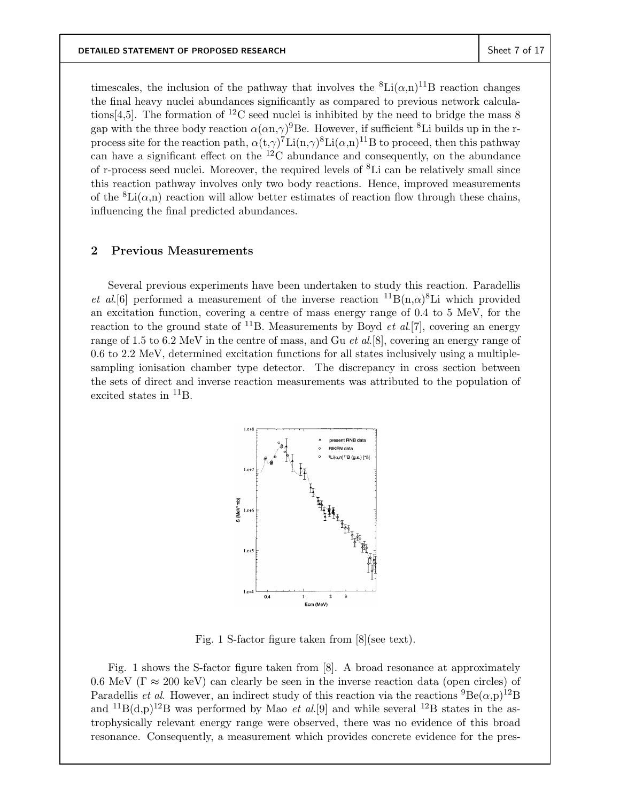timescales, the inclusion of the pathway that involves the  ${}^{8}$ Li $(\alpha, n)$ <sup>11</sup>B reaction changes the final heavy nuclei abundances significantly as compared to previous network calculations [4,5]. The formation of <sup>12</sup>C seed nuclei is inhibited by the need to bridge the mass 8 gap with the three body reaction  $\alpha(\alpha n, \gamma)^9$ Be. However, if sufficient <sup>8</sup>Li builds up in the rprocess site for the reaction path,  $\alpha(t,\gamma)^7\text{Li}(n,\gamma)^8\text{Li}(\alpha,n)^{11}\text{B}$  to proceed, then this pathway can have a significant effect on the  ${}^{12}$ C abundance and consequently, on the abundance of r-process seed nuclei. Moreover, the required levels of <sup>8</sup>Li can be relatively small since this reaction pathway involves only two body reactions. Hence, improved measurements of the  ${}^8\text{Li}(\alpha,n)$  reaction will allow better estimates of reaction flow through these chains, influencing the final predicted abundances.

#### **2 Previous Measurements**

Several previous experiments have been undertaken to study this reaction. Paradellis *et al.*[6] performed a measurement of the inverse reaction  ${}^{11}B(n,\alpha){}^{8}Li$  which provided an excitation function, covering a centre of mass energy range of 0.4 to 5 MeV, for the reaction to the ground state of  $^{11}$ B. Measurements by Boyd *et al.*[7], covering an energy range of 1.5 to 6.2 MeV in the centre of mass, and Gu *et al*.[8], covering an energy range of 0.6 to 2.2 MeV, determined excitation functions for all states inclusively using a multiplesampling ionisation chamber type detector. The discrepancy in cross section between the sets of direct and inverse reaction measurements was attributed to the population of excited states in  ${}^{11}B$ .



Fig. 1 S-factor figure taken from [8](see text).

Fig. 1 shows the S-factor figure taken from [8]. A broad resonance at approximately 0.6 MeV ( $\Gamma \approx 200 \text{ keV}$ ) can clearly be seen in the inverse reaction data (open circles) of Paradellis *et al.* However, an indirect study of this reaction via the reactions  ${}^{9}Be(\alpha,p){}^{12}B$ and  ${}^{11}B(d,p){}^{12}B$  was performed by Mao *et al.*[9] and while several  ${}^{12}B$  states in the astrophysically relevant energy range were observed, there was no evidence of this broad resonance. Consequently, a measurement which provides concrete evidence for the pres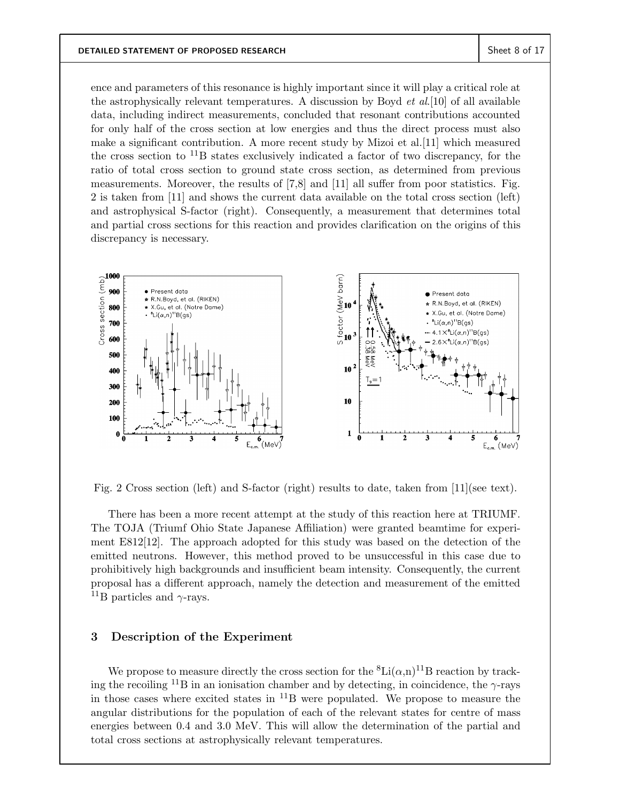ence and parameters of this resonance is highly important since it will play a critical role at the astrophysically relevant temperatures. A discussion by Boyd *et al*.[10] of all available data, including indirect measurements, concluded that resonant contributions accounted for only half of the cross section at low energies and thus the direct process must also make a significant contribution. A more recent study by Mizoi et al.[11] which measured the cross section to  $^{11}B$  states exclusively indicated a factor of two discrepancy, for the ratio of total cross section to ground state cross section, as determined from previous measurements. Moreover, the results of [7,8] and [11] all suffer from poor statistics. Fig. 2 is taken from [11] and shows the current data available on the total cross section (left) and astrophysical S-factor (right). Consequently, a measurement that determines total and partial cross sections for this reaction and provides clarification on the origins of this discrepancy is necessary.



Fig. 2 Cross section (left) and S-factor (right) results to date, taken from [11](see text).

There has been a more recent attempt at the study of this reaction here at TRIUMF. The TOJA (Triumf Ohio State Japanese Affiliation) were granted beamtime for experiment E812[12]. The approach adopted for this study was based on the detection of the emitted neutrons. However, this method proved to be unsuccessful in this case due to prohibitively high backgrounds and insufficient beam intensity. Consequently, the current proposal has a different approach, namely the detection and measurement of the emitted <sup>11</sup>B particles and  $\gamma$ -rays.

# **3 Description of the Experiment**

We propose to measure directly the cross section for the  ${}^{8}$ Li $(\alpha,n)^{11}$ B reaction by tracking the recoiling  $^{11}B$  in an ionisation chamber and by detecting, in coincidence, the  $\gamma$ -rays in those cases where excited states in  $^{11}B$  were populated. We propose to measure the angular distributions for the population of each of the relevant states for centre of mass energies between 0.4 and 3.0 MeV. This will allow the determination of the partial and total cross sections at astrophysically relevant temperatures.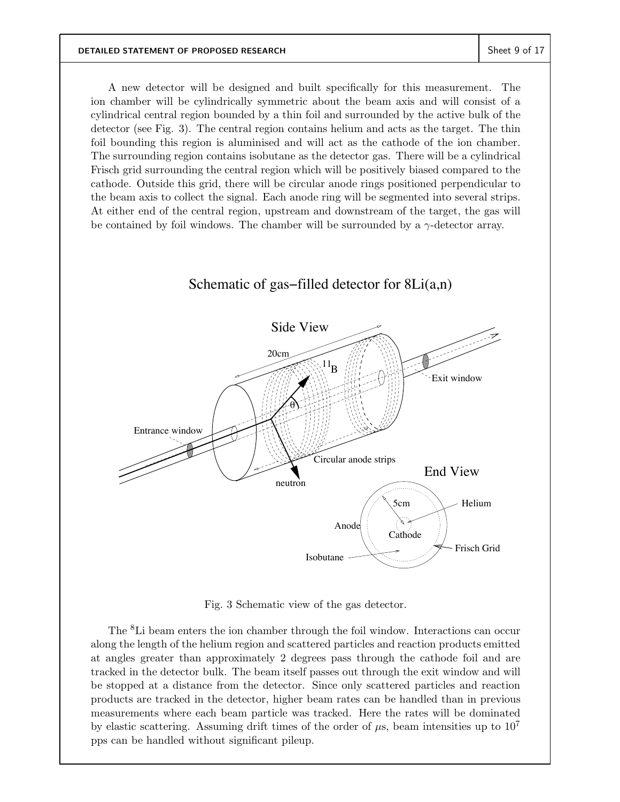A new detector will be designed and built specifically for this measurement. The ion chamber will be cylindrically symmetric about the beam axis and will consist of a cylindrical central region bounded by a thin foil and surrounded by the active bulk of the detector (see Fig. 3). The central region contains helium and acts as the target. The thin foil bounding this region is aluminised and will act as the cathode of the ion chamber. The surrounding region contains isobutane as the detector gas. There will be a cylindrical Frisch grid surrounding the central region which will be positively biased compared to the cathode. Outside this grid, there will be circular anode rings positioned perpendicular to the beam axis to collect the signal. Each anode ring will be segmented into several strips. At either end of the central region, upstream and downstream of the target, the gas will be contained by foil windows. The chamber will be surrounded by a  $\gamma$ -detector array.

# Schematic of gas−filled detector for 8Li(a,n)



Fig. 3 Schematic view of the gas detector.

The <sup>8</sup>Li beam enters the ion chamber through the foil window. Interactions can occur along the length of the helium region and scattered particles and reaction products emitted at angles greater than approximately 2 degrees pass through the cathode foil and are tracked in the detector bulk. The beam itself passes out through the exit window and will be stopped at a distance from the detector. Since only scattered particles and reaction products are tracked in the detector, higher beam rates can be handled than in previous measurements where each beam particle was tracked. Here the rates will be dominated by elastic scattering. Assuming drift times of the order of  $\mu$ s, beam intensities up to  $10^7$ pps can be handled without significant pileup.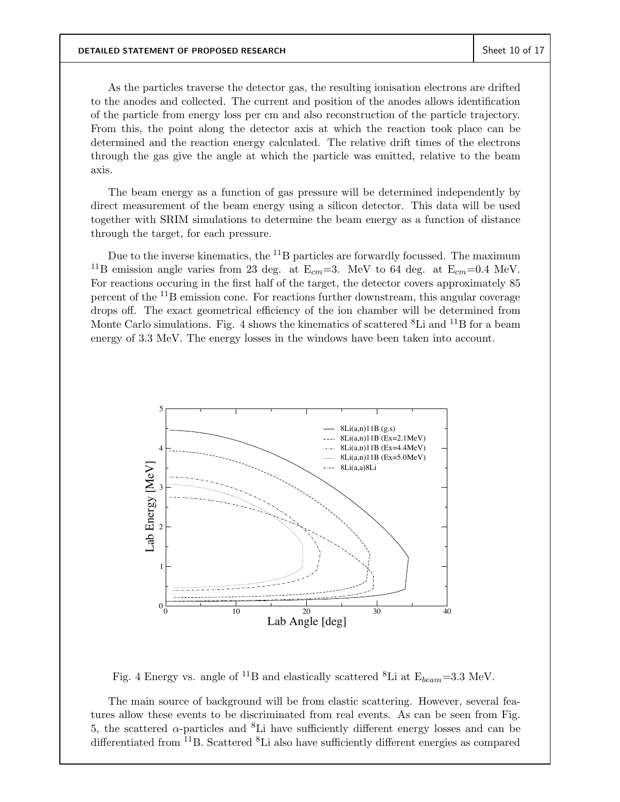As the particles traverse the detector gas, the resulting ionisation electrons are drifted to the anodes and collected. The current and position of the anodes allows identification of the particle from energy loss per cm and also reconstruction of the particle trajectory. From this, the point along the detector axis at which the reaction took place can be determined and the reaction energy calculated. The relative drift times of the electrons through the gas give the angle at which the particle was emitted, relative to the beam axis.

The beam energy as a function of gas pressure will be determined independently by direct measurement of the beam energy using a silicon detector. This data will be used together with SRIM simulations to determine the beam energy as a function of distance through the target, for each pressure.

Due to the inverse kinematics, the  ${}^{11}B$  particles are forwardly focussed. The maximum <sup>11</sup>B emission angle varies from 23 deg. at  $E_{cm} = 3$ . MeV to 64 deg. at  $E_{cm} = 0.4$  MeV. For reactions occuring in the first half of the target, the detector covers approximately 85 percent of the <sup>11</sup>B emission cone. For reactions further downstream, this angular coverage drops off. The exact geometrical efficiency of the ion chamber will be determined from Monte Carlo simulations. Fig. 4 shows the kinematics of scattered  ${}^{8}$ Li and  ${}^{11}$ B for a beam energy of 3.3 MeV. The energy losses in the windows have been taken into account.



Fig. 4 Energy vs. angle of <sup>11</sup>B and elastically scattered <sup>8</sup>Li at  $E_{beam} = 3.3$  MeV.

The main source of background will be from elastic scattering. However, several features allow these events to be discriminated from real events. As can be seen from Fig. 5, the scattered  $\alpha$ -particles and <sup>8</sup>Li have sufficiently different energy losses and can be differentiated from  $^{11}$ B. Scattered  $^{8}$ Li also have sufficiently different energies as compared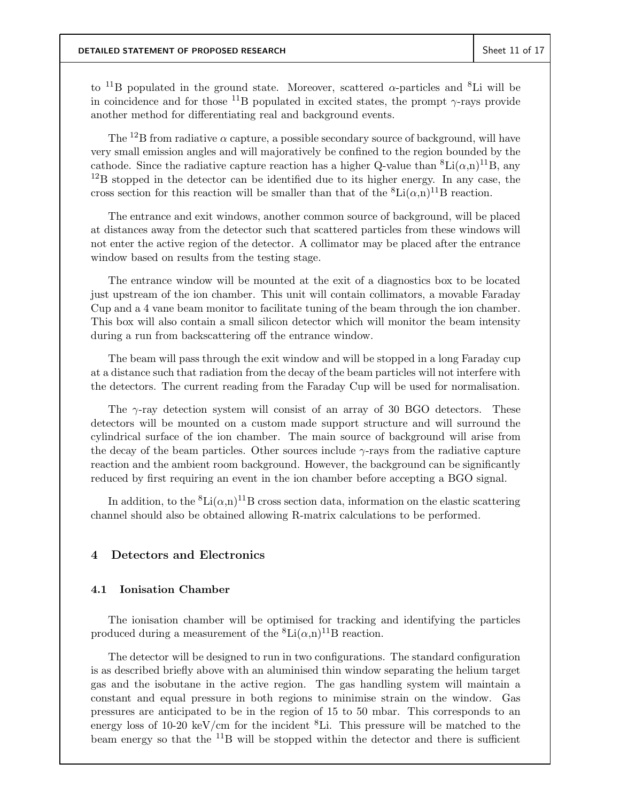to <sup>11</sup>B populated in the ground state. Moreover, scattered  $\alpha$ -particles and <sup>8</sup>Li will be in coincidence and for those <sup>11</sup>B populated in excited states, the prompt  $\gamma$ -rays provide another method for differentiating real and background events.

The <sup>12</sup>B from radiative  $\alpha$  capture, a possible secondary source of background, will have very small emission angles and will majoratively be confined to the region bounded by the cathode. Since the radiative capture reaction has a higher Q-value than  ${}^{8}Li(\alpha,n){}^{11}B$ , any  $^{12}$ B stopped in the detector can be identified due to its higher energy. In any case, the cross section for this reaction will be smaller than that of the  ${}^{8}Li(\alpha,n){}^{11}B$  reaction.

The entrance and exit windows, another common source of background, will be placed at distances away from the detector such that scattered particles from these windows will not enter the active region of the detector. A collimator may be placed after the entrance window based on results from the testing stage.

The entrance window will be mounted at the exit of a diagnostics box to be located just upstream of the ion chamber. This unit will contain collimators, a movable Faraday Cup and a 4 vane beam monitor to facilitate tuning of the beam through the ion chamber. This box will also contain a small silicon detector which will monitor the beam intensity during a run from backscattering off the entrance window.

The beam will pass through the exit window and will be stopped in a long Faraday cup at a distance such that radiation from the decay of the beam particles will not interfere with the detectors. The current reading from the Faraday Cup will be used for normalisation.

The  $\gamma$ -ray detection system will consist of an array of 30 BGO detectors. These detectors will be mounted on a custom made support structure and will surround the cylindrical surface of the ion chamber. The main source of background will arise from the decay of the beam particles. Other sources include  $\gamma$ -rays from the radiative capture reaction and the ambient room background. However, the background can be significantly reduced by first requiring an event in the ion chamber before accepting a BGO signal.

In addition, to the  ${}^{8}$ Li $(\alpha,n)^{11}$ B cross section data, information on the elastic scattering channel should also be obtained allowing R-matrix calculations to be performed.

### **4 Detectors and Electronics**

#### **4.1 Ionisation Chamber**

The ionisation chamber will be optimised for tracking and identifying the particles produced during a measurement of the  ${}^{8}\text{Li}(\alpha,n){}^{11}\text{B}$  reaction.

The detector will be designed to run in two configurations. The standard configuration is as described briefly above with an aluminised thin window separating the helium target gas and the isobutane in the active region. The gas handling system will maintain a constant and equal pressure in both regions to minimise strain on the window. Gas pressures are anticipated to be in the region of 15 to 50 mbar. This corresponds to an energy loss of 10-20 keV/cm for the incident  ${}^{8}$ Li. This pressure will be matched to the beam energy so that the  $^{11}B$  will be stopped within the detector and there is sufficient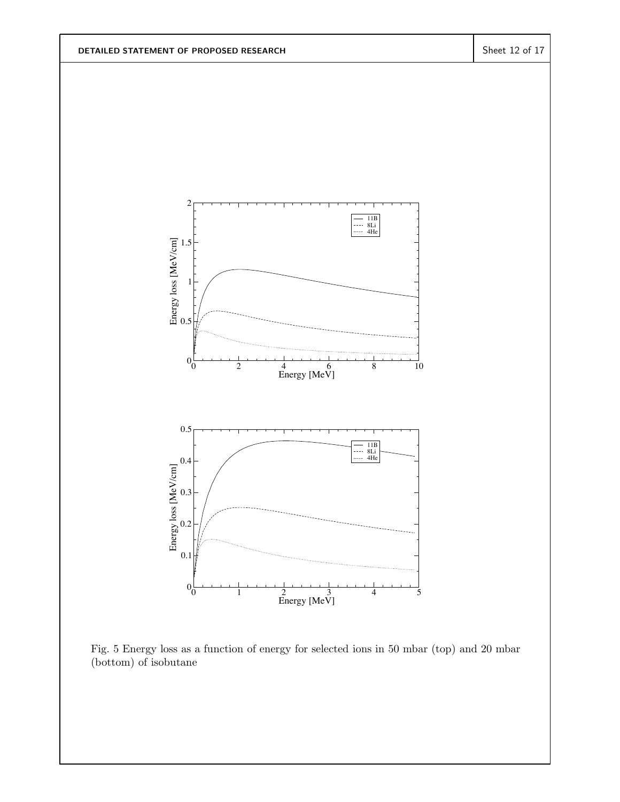

Fig. 5 Energy loss as a function of energy for selected ions in 50 mbar (top) and 20 mbar (bottom) of isobutane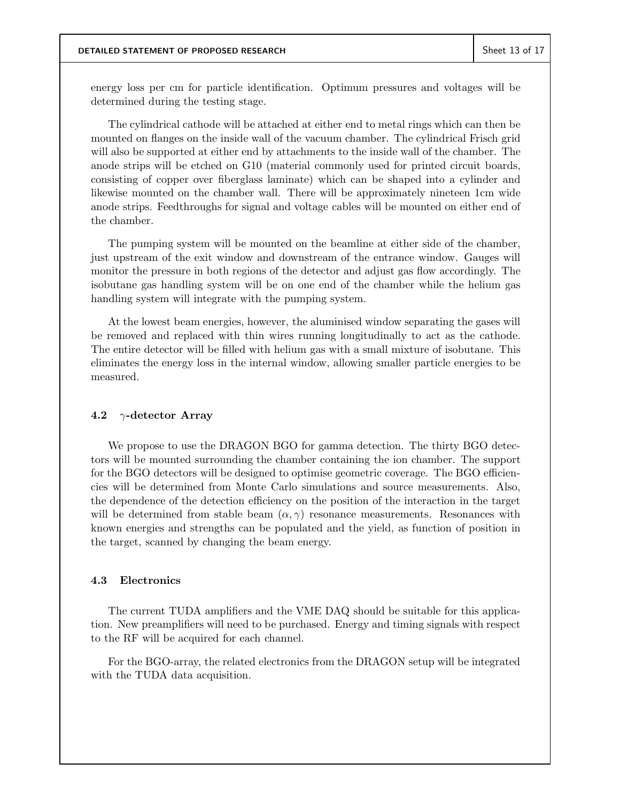energy loss per cm for particle identification. Optimum pressures and voltages will be determined during the testing stage.

The cylindrical cathode will be attached at either end to metal rings which can then be mounted on flanges on the inside wall of the vacuum chamber. The cylindrical Frisch grid will also be supported at either end by attachments to the inside wall of the chamber. The anode strips will be etched on G10 (material commonly used for printed circuit boards, consisting of copper over fiberglass laminate) which can be shaped into a cylinder and likewise mounted on the chamber wall. There will be approximately nineteen 1cm wide anode strips. Feedthroughs for signal and voltage cables will be mounted on either end of the chamber.

The pumping system will be mounted on the beamline at either side of the chamber, just upstream of the exit window and downstream of the entrance window. Gauges will monitor the pressure in both regions of the detector and adjust gas flow accordingly. The isobutane gas handling system will be on one end of the chamber while the helium gas handling system will integrate with the pumping system.

At the lowest beam energies, however, the aluminised window separating the gases will be removed and replaced with thin wires running longitudinally to act as the cathode. The entire detector will be filled with helium gas with a small mixture of isobutane. This eliminates the energy loss in the internal window, allowing smaller particle energies to be measured.

#### **4.2** γ**-detector Array**

We propose to use the DRAGON BGO for gamma detection. The thirty BGO detectors will be mounted surrounding the chamber containing the ion chamber. The support for the BGO detectors will be designed to optimise geometric coverage. The BGO efficiencies will be determined from Monte Carlo simulations and source measurements. Also, the dependence of the detection efficiency on the position of the interaction in the target will be determined from stable beam  $(\alpha, \gamma)$  resonance measurements. Resonances with known energies and strengths can be populated and the yield, as function of position in the target, scanned by changing the beam energy.

### **4.3 Electronics**

The current TUDA amplifiers and the VME DAQ should be suitable for this application. New preamplifiers will need to be purchased. Energy and timing signals with respect to the RF will be acquired for each channel.

For the BGO-array, the related electronics from the DRAGON setup will be integrated with the TUDA data acquisition.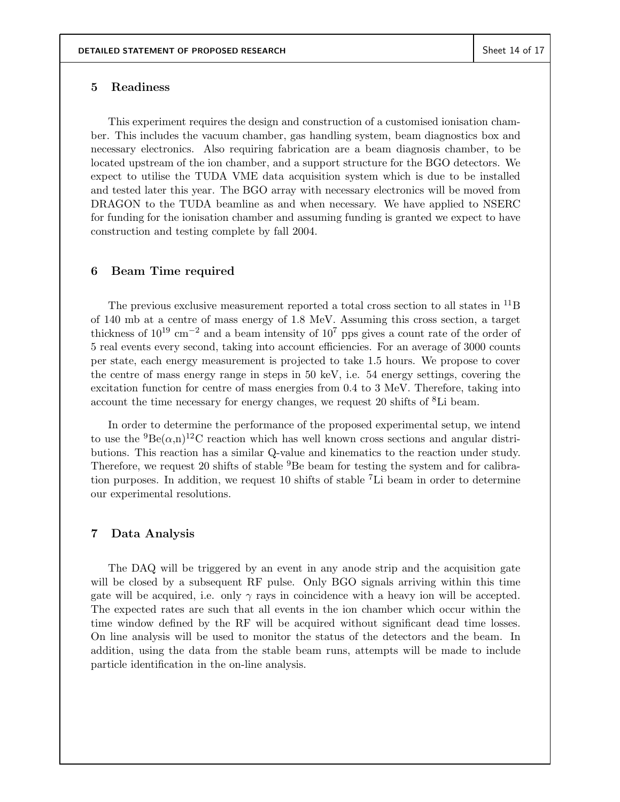### **5 Readiness**

This experiment requires the design and construction of a customised ionisation chamber. This includes the vacuum chamber, gas handling system, beam diagnostics box and necessary electronics. Also requiring fabrication are a beam diagnosis chamber, to be located upstream of the ion chamber, and a support structure for the BGO detectors. We expect to utilise the TUDA VME data acquisition system which is due to be installed and tested later this year. The BGO array with necessary electronics will be moved from DRAGON to the TUDA beamline as and when necessary. We have applied to NSERC for funding for the ionisation chamber and assuming funding is granted we expect to have construction and testing complete by fall 2004.

### **6 Beam Time required**

The previous exclusive measurement reported a total cross section to all states in  $^{11}B$ of 140 mb at a centre of mass energy of 1.8 MeV. Assuming this cross section, a target thickness of 10<sup>19</sup> cm*−*<sup>2</sup> and a beam intensity of 10<sup>7</sup> pps gives a count rate of the order of 5 real events every second, taking into account efficiencies. For an average of 3000 counts per state, each energy measurement is projected to take 1.5 hours. We propose to cover the centre of mass energy range in steps in 50 keV, i.e. 54 energy settings, covering the excitation function for centre of mass energies from 0.4 to 3 MeV. Therefore, taking into account the time necessary for energy changes, we request 20 shifts of <sup>8</sup>Li beam.

In order to determine the performance of the proposed experimental setup, we intend to use the  ${}^{9}Be(\alpha,n){}^{12}C$  reaction which has well known cross sections and angular distributions. This reaction has a similar Q-value and kinematics to the reaction under study. Therefore, we request 20 shifts of stable <sup>9</sup>Be beam for testing the system and for calibration purposes. In addition, we request 10 shifts of stable <sup>7</sup>Li beam in order to determine our experimental resolutions.

# **7 Data Analysis**

The DAQ will be triggered by an event in any anode strip and the acquisition gate will be closed by a subsequent RF pulse. Only BGO signals arriving within this time gate will be acquired, i.e. only  $\gamma$  rays in coincidence with a heavy ion will be accepted. The expected rates are such that all events in the ion chamber which occur within the time window defined by the RF will be acquired without significant dead time losses. On line analysis will be used to monitor the status of the detectors and the beam. In addition, using the data from the stable beam runs, attempts will be made to include particle identification in the on-line analysis.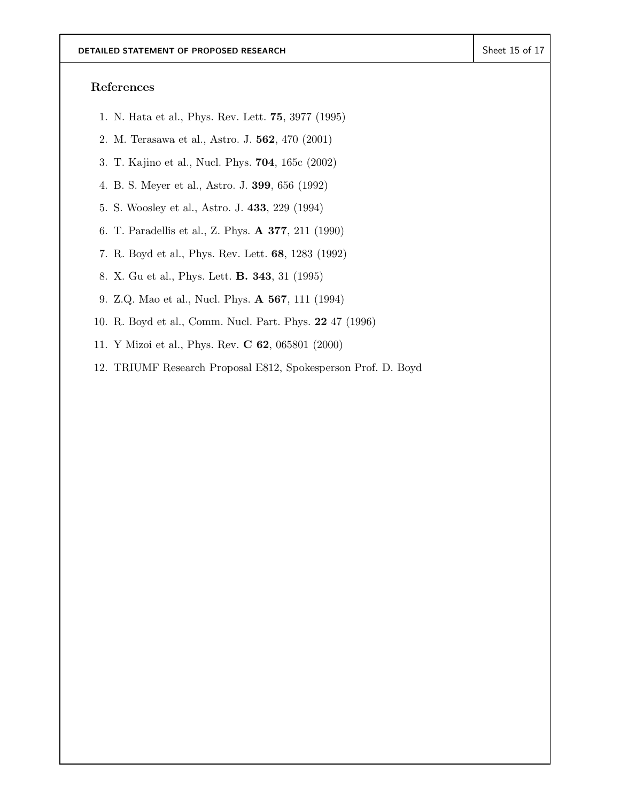# **References**

- 1. N. Hata et al., Phys. Rev. Lett. **75**, 3977 (1995)
- 2. M. Terasawa et al., Astro. J. **562**, 470 (2001)
- 3. T. Kajino et al., Nucl. Phys. **704**, 165c (2002)
- 4. B. S. Meyer et al., Astro. J. **399**, 656 (1992)
- 5. S. Woosley et al., Astro. J. **433**, 229 (1994)
- 6. T. Paradellis et al., Z. Phys. **A 377**, 211 (1990)
- 7. R. Boyd et al., Phys. Rev. Lett. **68**, 1283 (1992)
- 8. X. Gu et al., Phys. Lett. **B. 343**, 31 (1995)
- 9. Z.Q. Mao et al., Nucl. Phys. **A 567**, 111 (1994)
- 10. R. Boyd et al., Comm. Nucl. Part. Phys. **22** 47 (1996)
- 11. Y Mizoi et al., Phys. Rev. **C 62**, 065801 (2000)
- 12. TRIUMF Research Proposal E812, Spokesperson Prof. D. Boyd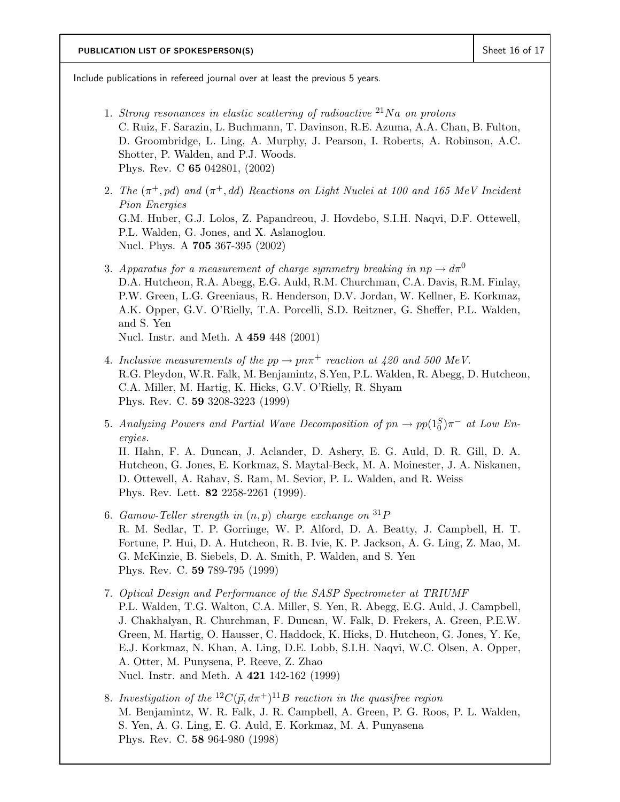Include publications in refereed journal over at least the previous 5 years.

- 1. *Strong resonances in elastic scattering of radioactive* <sup>21</sup>Na *on protons* C. Ruiz, F. Sarazin, L. Buchmann, T. Davinson, R.E. Azuma, A.A. Chan, B. Fulton, D. Groombridge, L. Ling, A. Murphy, J. Pearson, I. Roberts, A. Robinson, A.C. Shotter, P. Walden, and P.J. Woods. Phys. Rev. C **65** 042801, (2002)
- 2. The  $(\pi^+, pd)$  and  $(\pi^+, dd)$  Reactions on Light Nuclei at 100 and 165 MeV Incident *Pion Energies* G.M. Huber, G.J. Lolos, Z. Papandreou, J. Hovdebo, S.I.H. Naqvi, D.F. Ottewell, P.L. Walden, G. Jones, and X. Aslanoglou. Nucl. Phys. A **705** 367-395 (2002)
- 3. *Apparatus for a measurement of charge symmetry breaking in*  $np \rightarrow d\pi^0$ D.A. Hutcheon, R.A. Abegg, E.G. Auld, R.M. Churchman, C.A. Davis, R.M. Finlay, P.W. Green, L.G. Greeniaus, R. Henderson, D.V. Jordan, W. Kellner, E. Korkmaz, A.K. Opper, G.V. O'Rielly, T.A. Porcelli, S.D. Reitzner, G. Sheffer, P.L. Walden, and S. Yen Nucl. Instr. and Meth. A **459** 448 (2001)
- 4. *Inclusive measurements of the*  $pp \rightarrow pn\pi^+$  *reaction at 420 and 500 MeV.* R.G. Pleydon, W.R. Falk, M. Benjamintz, S.Yen, P.L. Walden, R. Abegg, D. Hutcheon, C.A. Miller, M. Hartig, K. Hicks, G.V. O'Rielly, R. Shyam Phys. Rev. C. **59** 3208-3223 (1999)
- 5. *Analyzing Powers and Partial Wave Decomposition of*  $pn \to pp(1_0^S)\pi^-$  *at Low Energies.*

H. Hahn, F. A. Duncan, J. Aclander, D. Ashery, E. G. Auld, D. R. Gill, D. A. Hutcheon, G. Jones, E. Korkmaz, S. Maytal-Beck, M. A. Moinester, J. A. Niskanen, D. Ottewell, A. Rahav, S. Ram, M. Sevior, P. L. Walden, and R. Weiss Phys. Rev. Lett. **82** 2258-2261 (1999).

- 6. *Gamow-Teller strength in* (n, p) *charge exchange on* <sup>31</sup>P R. M. Sedlar, T. P. Gorringe, W. P. Alford, D. A. Beatty, J. Campbell, H. T. Fortune, P. Hui, D. A. Hutcheon, R. B. Ivie, K. P. Jackson, A. G. Ling, Z. Mao, M. G. McKinzie, B. Siebels, D. A. Smith, P. Walden, and S. Yen Phys. Rev. C. **59** 789-795 (1999)
- 7. *Optical Design and Performance of the SASP Spectrometer at TRIUMF* P.L. Walden, T.G. Walton, C.A. Miller, S. Yen, R. Abegg, E.G. Auld, J. Campbell, J. Chakhalyan, R. Churchman, F. Duncan, W. Falk, D. Frekers, A. Green, P.E.W. Green, M. Hartig, O. Hausser, C. Haddock, K. Hicks, D. Hutcheon, G. Jones, Y. Ke, E.J. Korkmaz, N. Khan, A. Ling, D.E. Lobb, S.I.H. Naqvi, W.C. Olsen, A. Opper, A. Otter, M. Punysena, P. Reeve, Z. Zhao Nucl. Instr. and Meth. A **421** 142-162 (1999)
- 8. *Investigation of the*  ${}^{12}C(\vec{p}, d\pi^+){}^{11}B$  *reaction in the quasifree region* M. Benjamintz, W. R. Falk, J. R. Campbell, A. Green, P. G. Roos, P. L. Walden, S. Yen, A. G. Ling, E. G. Auld, E. Korkmaz, M. A. Punyasena Phys. Rev. C. **58** 964-980 (1998)